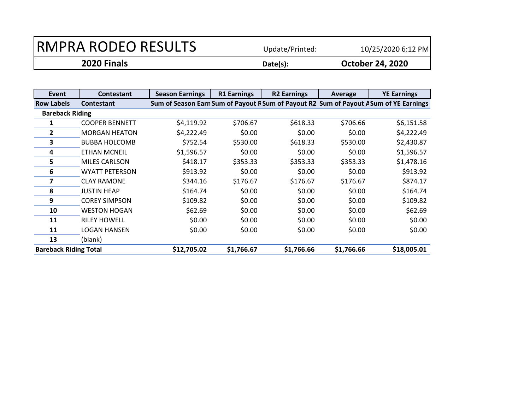| 2020 Finals                | Date(s):        | <b>October 24, 2020</b> |
|----------------------------|-----------------|-------------------------|
| <b>RMPRA RODEO RESULTS</b> | Update/Printed: | 10/25/2020 6:12 PM      |

| Event                        | Contestant            | <b>Season Earnings</b> | <b>R1 Earnings</b> | <b>R2 Earnings</b> | Average    | <b>YE Earnings</b>                                                                     |
|------------------------------|-----------------------|------------------------|--------------------|--------------------|------------|----------------------------------------------------------------------------------------|
| <b>Row Labels</b>            | Contestant            |                        |                    |                    |            | Sum of Season Earn Sum of Payout R Sum of Payout R2 Sum of Payout A Sum of YE Earnings |
| <b>Bareback Riding</b>       |                       |                        |                    |                    |            |                                                                                        |
|                              | <b>COOPER BENNETT</b> | \$4,119.92             | \$706.67           | \$618.33           | \$706.66   | \$6,151.58                                                                             |
| $\mathbf{2}$                 | <b>MORGAN HEATON</b>  | \$4,222.49             | \$0.00             | \$0.00             | \$0.00     | \$4,222.49                                                                             |
| 3                            | <b>BUBBA HOLCOMB</b>  | \$752.54               | \$530.00           | \$618.33           | \$530.00   | \$2,430.87                                                                             |
| 4                            | <b>ETHAN MCNEIL</b>   | \$1,596.57             | \$0.00             | \$0.00             | \$0.00     | \$1,596.57                                                                             |
| 5                            | <b>MILES CARLSON</b>  | \$418.17               | \$353.33           | \$353.33           | \$353.33   | \$1,478.16                                                                             |
| 6                            | <b>WYATT PETERSON</b> | \$913.92               | \$0.00             | \$0.00             | \$0.00     | \$913.92                                                                               |
| 7                            | <b>CLAY RAMONE</b>    | \$344.16               | \$176.67           | \$176.67           | \$176.67   | \$874.17                                                                               |
| 8                            | <b>JUSTIN HEAP</b>    | \$164.74               | \$0.00             | \$0.00             | \$0.00     | \$164.74                                                                               |
| 9                            | <b>COREY SIMPSON</b>  | \$109.82               | \$0.00             | \$0.00             | \$0.00     | \$109.82                                                                               |
| 10                           | <b>WESTON HOGAN</b>   | \$62.69                | \$0.00             | \$0.00             | \$0.00     | \$62.69                                                                                |
| 11                           | <b>RILEY HOWELL</b>   | \$0.00                 | \$0.00             | \$0.00             | \$0.00     | \$0.00                                                                                 |
| 11                           | LOGAN HANSEN          | \$0.00                 | \$0.00             | \$0.00             | \$0.00     | \$0.00                                                                                 |
| 13                           | (blank)               |                        |                    |                    |            |                                                                                        |
| <b>Bareback Riding Total</b> |                       | \$12,705.02            | \$1,766.67         | \$1,766.66         | \$1,766.66 | \$18,005.01                                                                            |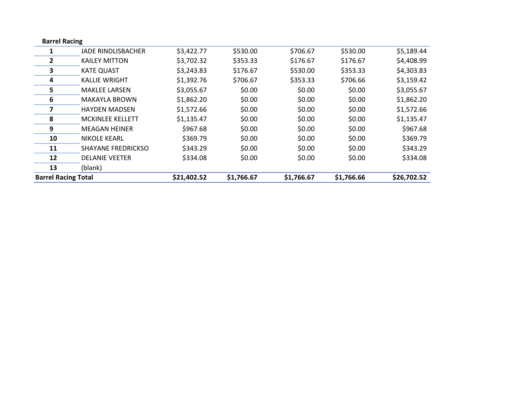| <b>Barrel Racing</b>       |                           |             |            |            |            |             |
|----------------------------|---------------------------|-------------|------------|------------|------------|-------------|
| 1                          | JADE RINDLISBACHER        | \$3,422.77  | \$530.00   | \$706.67   | \$530.00   | \$5,189.44  |
| $\overline{2}$             | <b>KAILEY MITTON</b>      | \$3,702.32  | \$353.33   | \$176.67   | \$176.67   | \$4,408.99  |
| 3                          | <b>KATE QUAST</b>         | \$3,243.83  | \$176.67   | \$530.00   | \$353.33   | \$4,303.83  |
| 4                          | <b>KALLIE WRIGHT</b>      | \$1,392.76  | \$706.67   | \$353.33   | \$706.66   | \$3,159.42  |
| 5                          | <b>MAKLEE LARSEN</b>      | \$3,055.67  | \$0.00     | \$0.00     | \$0.00     | \$3,055.67  |
| 6                          | <b>MAKAYLA BROWN</b>      | \$1,862.20  | \$0.00     | \$0.00     | \$0.00     | \$1,862.20  |
| 7                          | <b>HAYDEN MADSEN</b>      | \$1,572.66  | \$0.00     | \$0.00     | \$0.00     | \$1,572.66  |
| 8                          | <b>MCKINLEE KELLETT</b>   | \$1,135.47  | \$0.00     | \$0.00     | \$0.00     | \$1,135.47  |
| 9                          | <b>MEAGAN HEINER</b>      | \$967.68    | \$0.00     | \$0.00     | \$0.00     | \$967.68    |
| 10                         | <b>NIKOLE KEARL</b>       | \$369.79    | \$0.00     | \$0.00     | \$0.00     | \$369.79    |
| 11                         | <b>SHAYANE FREDRICKSO</b> | \$343.29    | \$0.00     | \$0.00     | \$0.00     | \$343.29    |
| 12                         | <b>DELANIE VEETER</b>     | \$334.08    | \$0.00     | \$0.00     | \$0.00     | \$334.08    |
| 13                         | (blank)                   |             |            |            |            |             |
| <b>Barrel Racing Total</b> |                           | \$21,402.52 | \$1,766.67 | \$1,766.67 | \$1,766.66 | \$26,702.52 |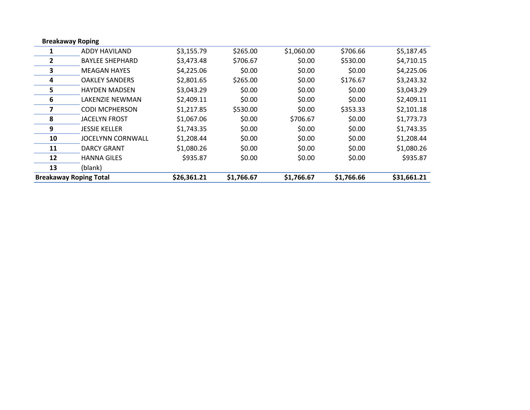| <b>Breakaway Roping</b>       |                          |             |            |            |            |             |
|-------------------------------|--------------------------|-------------|------------|------------|------------|-------------|
| 1                             | ADDY HAVILAND            | \$3,155.79  | \$265.00   | \$1,060.00 | \$706.66   | \$5,187.45  |
| $\overline{2}$                | <b>BAYLEE SHEPHARD</b>   | \$3,473.48  | \$706.67   | \$0.00     | \$530.00   | \$4,710.15  |
| 3                             | <b>MEAGAN HAYES</b>      | \$4,225.06  | \$0.00     | \$0.00     | \$0.00     | \$4,225.06  |
| 4                             | <b>OAKLEY SANDERS</b>    | \$2,801.65  | \$265.00   | \$0.00     | \$176.67   | \$3,243.32  |
| 5                             | <b>HAYDEN MADSEN</b>     | \$3,043.29  | \$0.00     | \$0.00     | \$0.00     | \$3,043.29  |
| 6                             | LAKENZIE NEWMAN          | \$2,409.11  | \$0.00     | \$0.00     | \$0.00     | \$2,409.11  |
| 7                             | <b>CODI MCPHERSON</b>    | \$1,217.85  | \$530.00   | \$0.00     | \$353.33   | \$2,101.18  |
| 8                             | <b>JACELYN FROST</b>     | \$1,067.06  | \$0.00     | \$706.67   | \$0.00     | \$1,773.73  |
| 9                             | <b>JESSIE KELLER</b>     | \$1,743.35  | \$0.00     | \$0.00     | \$0.00     | \$1,743.35  |
| 10                            | <b>JOCELYNN CORNWALL</b> | \$1,208.44  | \$0.00     | \$0.00     | \$0.00     | \$1,208.44  |
| 11                            | <b>DARCY GRANT</b>       | \$1,080.26  | \$0.00     | \$0.00     | \$0.00     | \$1,080.26  |
| 12                            | <b>HANNA GILES</b>       | \$935.87    | \$0.00     | \$0.00     | \$0.00     | \$935.87    |
| 13                            | (blank)                  |             |            |            |            |             |
| <b>Breakaway Roping Total</b> |                          | \$26,361.21 | \$1,766.67 | \$1,766.67 | \$1,766.66 | \$31,661.21 |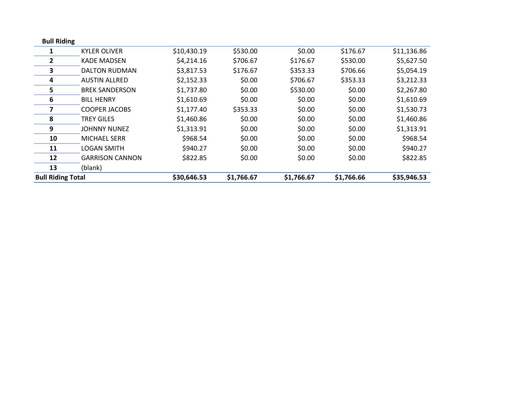| <b>Bull Riding</b>       |                        |             |            |            |            |             |
|--------------------------|------------------------|-------------|------------|------------|------------|-------------|
|                          | <b>KYLER OLIVER</b>    | \$10,430.19 | \$530.00   | \$0.00     | \$176.67   | \$11,136.86 |
| 2                        | <b>KADE MADSEN</b>     | \$4,214.16  | \$706.67   | \$176.67   | \$530.00   | \$5,627.50  |
| 3                        | <b>DALTON RUDMAN</b>   | \$3,817.53  | \$176.67   | \$353.33   | \$706.66   | \$5,054.19  |
| 4                        | <b>AUSTIN ALLRED</b>   | \$2,152.33  | \$0.00     | \$706.67   | \$353.33   | \$3,212.33  |
| 5                        | <b>BREK SANDERSON</b>  | \$1,737.80  | \$0.00     | \$530.00   | \$0.00     | \$2,267.80  |
| 6                        | <b>BILL HENRY</b>      | \$1,610.69  | \$0.00     | \$0.00     | \$0.00     | \$1,610.69  |
| 7                        | <b>COOPER JACOBS</b>   | \$1,177.40  | \$353.33   | \$0.00     | \$0.00     | \$1,530.73  |
| 8                        | <b>TREY GILES</b>      | \$1,460.86  | \$0.00     | \$0.00     | \$0.00     | \$1,460.86  |
| 9                        | <b>JOHNNY NUNEZ</b>    | \$1,313.91  | \$0.00     | \$0.00     | \$0.00     | \$1,313.91  |
| 10                       | <b>MICHAEL SERR</b>    | \$968.54    | \$0.00     | \$0.00     | \$0.00     | \$968.54    |
| 11                       | <b>LOGAN SMITH</b>     | \$940.27    | \$0.00     | \$0.00     | \$0.00     | \$940.27    |
| 12                       | <b>GARRISON CANNON</b> | \$822.85    | \$0.00     | \$0.00     | \$0.00     | \$822.85    |
| 13                       | (blank)                |             |            |            |            |             |
| <b>Bull Riding Total</b> |                        | \$30,646.53 | \$1,766.67 | \$1,766.67 | \$1,766.66 | \$35,946.53 |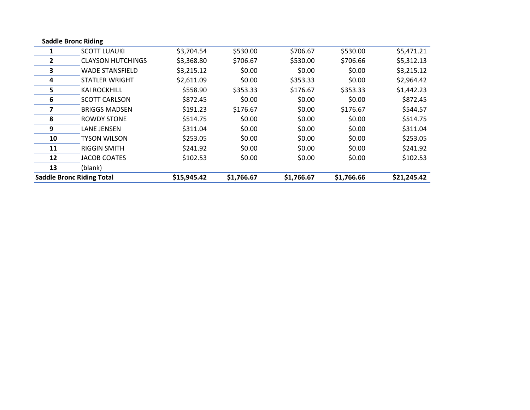| <b>Saddle Bronc Riding</b> |                                  |             |            |            |            |             |
|----------------------------|----------------------------------|-------------|------------|------------|------------|-------------|
|                            | <b>SCOTT LUAUKI</b>              | \$3,704.54  | \$530.00   | \$706.67   | \$530.00   | \$5,471.21  |
| $\mathbf{2}$               | <b>CLAYSON HUTCHINGS</b>         | \$3,368.80  | \$706.67   | \$530.00   | \$706.66   | \$5,312.13  |
| 3                          | <b>WADE STANSFIELD</b>           | \$3,215.12  | \$0.00     | \$0.00     | \$0.00     | \$3,215.12  |
| 4                          | <b>STATLER WRIGHT</b>            | \$2,611.09  | \$0.00     | \$353.33   | \$0.00     | \$2,964.42  |
| 5                          | <b>KAI ROCKHILL</b>              | \$558.90    | \$353.33   | \$176.67   | \$353.33   | \$1,442.23  |
| 6                          | <b>SCOTT CARLSON</b>             | \$872.45    | \$0.00     | \$0.00     | \$0.00     | \$872.45    |
| 7                          | <b>BRIGGS MADSEN</b>             | \$191.23    | \$176.67   | \$0.00     | \$176.67   | \$544.57    |
| 8                          | <b>ROWDY STONE</b>               | \$514.75    | \$0.00     | \$0.00     | \$0.00     | \$514.75    |
| 9                          | <b>LANE JENSEN</b>               | \$311.04    | \$0.00     | \$0.00     | \$0.00     | \$311.04    |
| 10                         | <b>TYSON WILSON</b>              | \$253.05    | \$0.00     | \$0.00     | \$0.00     | \$253.05    |
| 11                         | <b>RIGGIN SMITH</b>              | \$241.92    | \$0.00     | \$0.00     | \$0.00     | \$241.92    |
| 12                         | JACOB COATES                     | \$102.53    | \$0.00     | \$0.00     | \$0.00     | \$102.53    |
| 13                         | (blank)                          |             |            |            |            |             |
|                            | <b>Saddle Bronc Riding Total</b> | \$15,945.42 | \$1,766.67 | \$1,766.67 | \$1,766.66 | \$21,245.42 |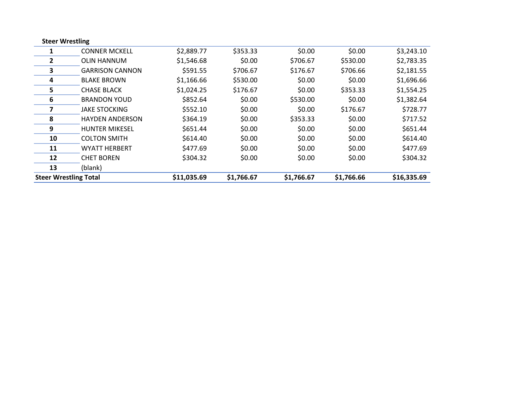| <b>Steer Wrestling</b>       |                        |             |            |            |            |             |
|------------------------------|------------------------|-------------|------------|------------|------------|-------------|
|                              | <b>CONNER MCKELL</b>   | \$2,889.77  | \$353.33   | \$0.00     | \$0.00     | \$3,243.10  |
| $\overline{2}$               | <b>OLIN HANNUM</b>     | \$1,546.68  | \$0.00     | \$706.67   | \$530.00   | \$2,783.35  |
| 3                            | <b>GARRISON CANNON</b> | \$591.55    | \$706.67   | \$176.67   | \$706.66   | \$2,181.55  |
| 4                            | <b>BLAKE BROWN</b>     | \$1,166.66  | \$530.00   | \$0.00     | \$0.00     | \$1,696.66  |
| 5                            | <b>CHASE BLACK</b>     | \$1,024.25  | \$176.67   | \$0.00     | \$353.33   | \$1,554.25  |
| 6                            | <b>BRANDON YOUD</b>    | \$852.64    | \$0.00     | \$530.00   | \$0.00     | \$1,382.64  |
| 7                            | <b>JAKE STOCKING</b>   | \$552.10    | \$0.00     | \$0.00     | \$176.67   | \$728.77    |
| 8                            | <b>HAYDEN ANDERSON</b> | \$364.19    | \$0.00     | \$353.33   | \$0.00     | \$717.52    |
| 9                            | <b>HUNTER MIKESEL</b>  | \$651.44    | \$0.00     | \$0.00     | \$0.00     | \$651.44    |
| 10                           | <b>COLTON SMITH</b>    | \$614.40    | \$0.00     | \$0.00     | \$0.00     | \$614.40    |
| 11                           | <b>WYATT HERBERT</b>   | \$477.69    | \$0.00     | \$0.00     | \$0.00     | \$477.69    |
| 12                           | <b>CHET BOREN</b>      | \$304.32    | \$0.00     | \$0.00     | \$0.00     | \$304.32    |
| 13                           | (blank)                |             |            |            |            |             |
| <b>Steer Wrestling Total</b> |                        | \$11,035.69 | \$1,766.67 | \$1,766.67 | \$1,766.66 | \$16,335.69 |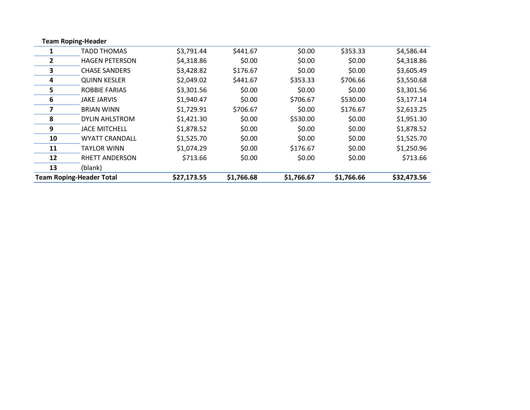|    | <b>Team Roping-Header</b>       |             |            |            |            |             |
|----|---------------------------------|-------------|------------|------------|------------|-------------|
|    | <b>TADD THOMAS</b>              | \$3,791.44  | \$441.67   | \$0.00     | \$353.33   | \$4,586.44  |
| 2  | <b>HAGEN PETERSON</b>           | \$4,318.86  | \$0.00     | \$0.00     | \$0.00     | \$4,318.86  |
| 3  | <b>CHASE SANDERS</b>            | \$3,428.82  | \$176.67   | \$0.00     | \$0.00     | \$3,605.49  |
| 4  | <b>QUINN KESLER</b>             | \$2,049.02  | \$441.67   | \$353.33   | \$706.66   | \$3,550.68  |
| 5  | <b>ROBBIE FARIAS</b>            | \$3,301.56  | \$0.00     | \$0.00     | \$0.00     | \$3,301.56  |
| 6  | <b>JAKE JARVIS</b>              | \$1,940.47  | \$0.00     | \$706.67   | \$530.00   | \$3,177.14  |
| 7  | <b>BRIAN WINN</b>               | \$1,729.91  | \$706.67   | \$0.00     | \$176.67   | \$2,613.25  |
| 8  | <b>DYLIN AHLSTROM</b>           | \$1,421.30  | \$0.00     | \$530.00   | \$0.00     | \$1,951.30  |
| 9  | <b>JACE MITCHELL</b>            | \$1,878.52  | \$0.00     | \$0.00     | \$0.00     | \$1,878.52  |
| 10 | <b>WYATT CRANDALL</b>           | \$1,525.70  | \$0.00     | \$0.00     | \$0.00     | \$1,525.70  |
| 11 | TAYLOR WINN                     | \$1,074.29  | \$0.00     | \$176.67   | \$0.00     | \$1,250.96  |
| 12 | <b>RHETT ANDERSON</b>           | \$713.66    | \$0.00     | \$0.00     | \$0.00     | \$713.66    |
| 13 | (blank)                         |             |            |            |            |             |
|    | <b>Team Roping-Header Total</b> | \$27,173.55 | \$1,766.68 | \$1,766.67 | \$1,766.66 | \$32,473.56 |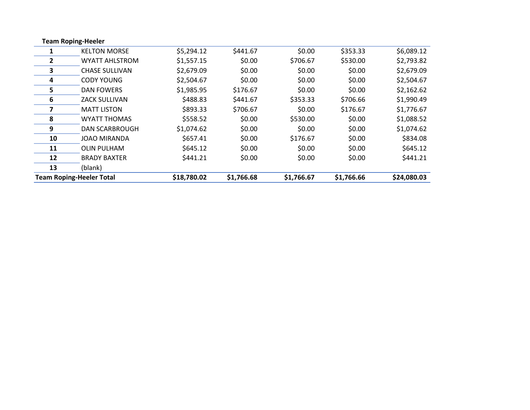|    | <b>Team Roping-Heeler</b>       |             |            |            |            |             |
|----|---------------------------------|-------------|------------|------------|------------|-------------|
|    | <b>KELTON MORSE</b>             | \$5,294.12  | \$441.67   | \$0.00     | \$353.33   | \$6,089.12  |
| 2  | <b>WYATT AHLSTROM</b>           | \$1,557.15  | \$0.00     | \$706.67   | \$530.00   | \$2,793.82  |
| 3  | <b>CHASE SULLIVAN</b>           | \$2,679.09  | \$0.00     | \$0.00     | \$0.00     | \$2,679.09  |
| 4  | <b>CODY YOUNG</b>               | \$2,504.67  | \$0.00     | \$0.00     | \$0.00     | \$2,504.67  |
| 5  | DAN FOWERS                      | \$1,985.95  | \$176.67   | \$0.00     | \$0.00     | \$2,162.62  |
| 6  | <b>ZACK SULLIVAN</b>            | \$488.83    | \$441.67   | \$353.33   | \$706.66   | \$1,990.49  |
| 7  | <b>MATT LISTON</b>              | \$893.33    | \$706.67   | \$0.00     | \$176.67   | \$1,776.67  |
| 8  | <b>WYATT THOMAS</b>             | \$558.52    | \$0.00     | \$530.00   | \$0.00     | \$1,088.52  |
| 9  | <b>DAN SCARBROUGH</b>           | \$1,074.62  | \$0.00     | \$0.00     | \$0.00     | \$1,074.62  |
| 10 | <b>JOAO MIRANDA</b>             | \$657.41    | \$0.00     | \$176.67   | \$0.00     | \$834.08    |
| 11 | OLIN PULHAM                     | \$645.12    | \$0.00     | \$0.00     | \$0.00     | \$645.12    |
| 12 | <b>BRADY BAXTER</b>             | \$441.21    | \$0.00     | \$0.00     | \$0.00     | \$441.21    |
| 13 | (blank)                         |             |            |            |            |             |
|    | <b>Team Roping-Heeler Total</b> | \$18,780.02 | \$1,766.68 | \$1,766.67 | \$1,766.66 | \$24,080.03 |